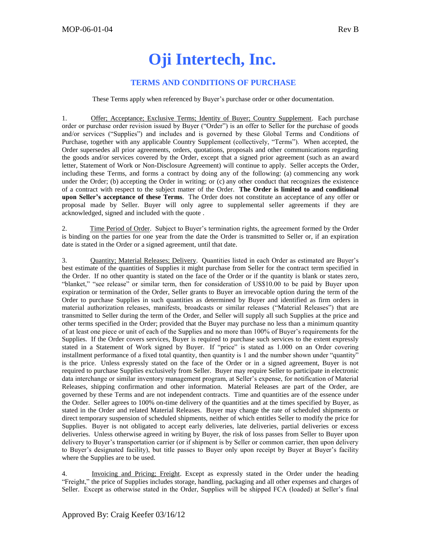## **Oji Intertech, Inc.**

## **TERMS AND CONDITIONS OF PURCHASE**

These Terms apply when referenced by Buyer's purchase order or other documentation.

1. Offer; Acceptance; Exclusive Terms; Identity of Buyer; Country Supplement. Each purchase order or purchase order revision issued by Buyer ("Order") is an offer to Seller for the purchase of goods and/or services ("Supplies") and includes and is governed by these Global Terms and Conditions of Purchase, together with any applicable Country Supplement (collectively, "Terms"). When accepted, the Order supersedes all prior agreements, orders, quotations, proposals and other communications regarding the goods and/or services covered by the Order, except that a signed prior agreement (such as an award letter, Statement of Work or Non-Disclosure Agreement) will continue to apply. Seller accepts the Order, including these Terms, and forms a contract by doing any of the following: (a) commencing any work under the Order; (b) accepting the Order in writing; or (c) any other conduct that recognizes the existence of a contract with respect to the subject matter of the Order. **The Order is limited to and conditional upon Seller's acceptance of these Terms**. The Order does not constitute an acceptance of any offer or proposal made by Seller. Buyer will only agree to supplemental seller agreements if they are acknowledged, signed and included with the quote .

2. Time Period of Order. Subject to Buyer's termination rights, the agreement formed by the Order is binding on the parties for one year from the date the Order is transmitted to Seller or, if an expiration date is stated in the Order or a signed agreement, until that date.

3. Quantity; Material Releases; Delivery. Quantities listed in each Order as estimated are Buyer's best estimate of the quantities of Supplies it might purchase from Seller for the contract term specified in the Order. If no other quantity is stated on the face of the Order or if the quantity is blank or states zero, "blanket," "see release" or similar term, then for consideration of US\$10.00 to be paid by Buyer upon expiration or termination of the Order, Seller grants to Buyer an irrevocable option during the term of the Order to purchase Supplies in such quantities as determined by Buyer and identified as firm orders in material authorization releases, manifests, broadcasts or similar releases ("Material Releases") that are transmitted to Seller during the term of the Order, and Seller will supply all such Supplies at the price and other terms specified in the Order; provided that the Buyer may purchase no less than a minimum quantity of at least one piece or unit of each of the Supplies and no more than 100% of Buyer's requirements for the Supplies. If the Order covers services, Buyer is required to purchase such services to the extent expressly stated in a Statement of Work signed by Buyer. If "price" is stated as 1.000 on an Order covering installment performance of a fixed total quantity, then quantity is 1 and the number shown under "quantity" is the price. Unless expressly stated on the face of the Order or in a signed agreement, Buyer is not required to purchase Supplies exclusively from Seller. Buyer may require Seller to participate in electronic data interchange or similar inventory management program, at Seller's expense, for notification of Material Releases, shipping confirmation and other information. Material Releases are part of the Order, are governed by these Terms and are not independent contracts. Time and quantities are of the essence under the Order. Seller agrees to 100% on-time delivery of the quantities and at the times specified by Buyer, as stated in the Order and related Material Releases. Buyer may change the rate of scheduled shipments or direct temporary suspension of scheduled shipments, neither of which entitles Seller to modify the price for Supplies. Buyer is not obligated to accept early deliveries, late deliveries, partial deliveries or excess deliveries. Unless otherwise agreed in writing by Buyer, the risk of loss passes from Seller to Buyer upon delivery to Buyer's transportation carrier (or if shipment is by Seller or common carrier, then upon delivery to Buyer's designated facility), but title passes to Buyer only upon receipt by Buyer at Buyer's facility where the Supplies are to be used.

4. Invoicing and Pricing; Freight. Except as expressly stated in the Order under the heading "Freight," the price of Supplies includes storage, handling, packaging and all other expenses and charges of Seller. Except as otherwise stated in the Order, Supplies will be shipped FCA (loaded) at Seller's final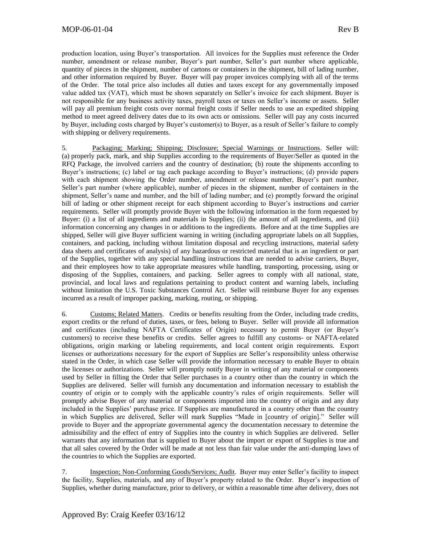production location, using Buyer's transportation. All invoices for the Supplies must reference the Order number, amendment or release number, Buyer's part number, Seller's part number where applicable, quantity of pieces in the shipment, number of cartons or containers in the shipment, bill of lading number, and other information required by Buyer. Buyer will pay proper invoices complying with all of the terms of the Order. The total price also includes all duties and taxes except for any governmentally imposed value added tax (VAT), which must be shown separately on Seller's invoice for each shipment. Buyer is not responsible for any business activity taxes, payroll taxes or taxes on Seller's income or assets. Seller will pay all premium freight costs over normal freight costs if Seller needs to use an expedited shipping method to meet agreed delivery dates due to its own acts or omissions. Seller will pay any costs incurred by Buyer, including costs charged by Buyer's customer(s) to Buyer, as a result of Seller's failure to comply with shipping or delivery requirements.

5. Packaging; Marking; Shipping; Disclosure; Special Warnings or Instructions. Seller will: (a) properly pack, mark, and ship Supplies according to the requirements of Buyer/Seller as quoted in the RFQ Package, the involved carriers and the country of destination; (b) route the shipments according to Buyer's instructions; (c) label or tag each package according to Buyer's instructions; (d) provide papers with each shipment showing the Order number, amendment or release number, Buyer's part number, Seller's part number (where applicable), number of pieces in the shipment, number of containers in the shipment, Seller's name and number, and the bill of lading number; and (e) promptly forward the original bill of lading or other shipment receipt for each shipment according to Buyer's instructions and carrier requirements. Seller will promptly provide Buyer with the following information in the form requested by Buyer: (i) a list of all ingredients and materials in Supplies; (ii) the amount of all ingredients, and (iii) information concerning any changes in or additions to the ingredients. Before and at the time Supplies are shipped, Seller will give Buyer sufficient warning in writing (including appropriate labels on all Supplies, containers, and packing, including without limitation disposal and recycling instructions, material safety data sheets and certificates of analysis) of any hazardous or restricted material that is an ingredient or part of the Supplies, together with any special handling instructions that are needed to advise carriers, Buyer, and their employees how to take appropriate measures while handling, transporting, processing, using or disposing of the Supplies, containers, and packing. Seller agrees to comply with all national, state, provincial, and local laws and regulations pertaining to product content and warning labels, including without limitation the U.S. Toxic Substances Control Act. Seller will reimburse Buyer for any expenses incurred as a result of improper packing, marking, routing, or shipping.

6. Customs; Related Matters. Credits or benefits resulting from the Order, including trade credits, export credits or the refund of duties, taxes, or fees, belong to Buyer. Seller will provide all information and certificates (including NAFTA Certificates of Origin) necessary to permit Buyer (or Buyer's customers) to receive these benefits or credits. Seller agrees to fulfill any customs- or NAFTA-related obligations, origin marking or labeling requirements, and local content origin requirements. Export licenses or authorizations necessary for the export of Supplies are Seller's responsibility unless otherwise stated in the Order, in which case Seller will provide the information necessary to enable Buyer to obtain the licenses or authorizations. Seller will promptly notify Buyer in writing of any material or components used by Seller in filling the Order that Seller purchases in a country other than the country in which the Supplies are delivered. Seller will furnish any documentation and information necessary to establish the country of origin or to comply with the applicable country's rules of origin requirements. Seller will promptly advise Buyer of any material or components imported into the country of origin and any duty included in the Supplies' purchase price. If Supplies are manufactured in a country other than the country in which Supplies are delivered, Seller will mark Supplies "Made in [country of origin]." Seller will provide to Buyer and the appropriate governmental agency the documentation necessary to determine the admissibility and the effect of entry of Supplies into the country in which Supplies are delivered. Seller warrants that any information that is supplied to Buyer about the import or export of Supplies is true and that all sales covered by the Order will be made at not less than fair value under the anti-dumping laws of the countries to which the Supplies are exported.

7. Inspection; Non-Conforming Goods/Services; Audit. Buyer may enter Seller's facility to inspect the facility, Supplies, materials, and any of Buyer's property related to the Order. Buyer's inspection of Supplies, whether during manufacture, prior to delivery, or within a reasonable time after delivery, does not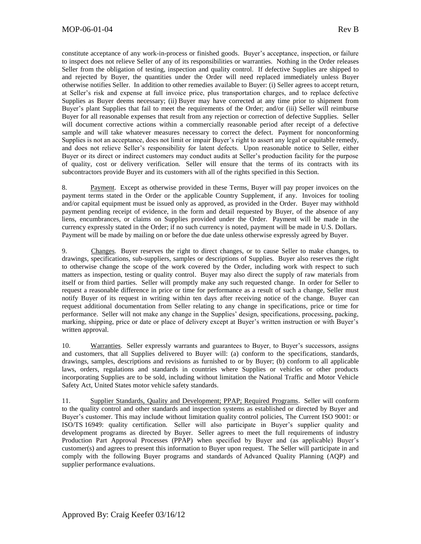constitute acceptance of any work-in-process or finished goods. Buyer's acceptance, inspection, or failure to inspect does not relieve Seller of any of its responsibilities or warranties. Nothing in the Order releases Seller from the obligation of testing, inspection and quality control. If defective Supplies are shipped to and rejected by Buyer, the quantities under the Order will need replaced immediately unless Buyer otherwise notifies Seller. In addition to other remedies available to Buyer: (i) Seller agrees to accept return, at Seller's risk and expense at full invoice price, plus transportation charges, and to replace defective Supplies as Buyer deems necessary; (ii) Buyer may have corrected at any time prior to shipment from Buyer's plant Supplies that fail to meet the requirements of the Order; and/or (iii) Seller will reimburse Buyer for all reasonable expenses that result from any rejection or correction of defective Supplies. Seller will document corrective actions within a commercially reasonable period after receipt of a defective sample and will take whatever measures necessary to correct the defect. Payment for nonconforming Supplies is not an acceptance, does not limit or impair Buyer's right to assert any legal or equitable remedy, and does not relieve Seller's responsibility for latent defects. Upon reasonable notice to Seller, either Buyer or its direct or indirect customers may conduct audits at Seller's production facility for the purpose of quality, cost or delivery verification. Seller will ensure that the terms of its contracts with its subcontractors provide Buyer and its customers with all of the rights specified in this Section.

8. Payment. Except as otherwise provided in these Terms, Buyer will pay proper invoices on the payment terms stated in the Order or the applicable Country Supplement, if any. Invoices for tooling and/or capital equipment must be issued only as approved, as provided in the Order. Buyer may withhold payment pending receipt of evidence, in the form and detail requested by Buyer, of the absence of any liens, encumbrances, or claims on Supplies provided under the Order. Payment will be made in the currency expressly stated in the Order; if no such currency is noted, payment will be made in U.S. Dollars. Payment will be made by mailing on or before the due date unless otherwise expressly agreed by Buyer.

9. Changes. Buyer reserves the right to direct changes, or to cause Seller to make changes, to drawings, specifications, sub-suppliers, samples or descriptions of Supplies. Buyer also reserves the right to otherwise change the scope of the work covered by the Order, including work with respect to such matters as inspection, testing or quality control. Buyer may also direct the supply of raw materials from itself or from third parties. Seller will promptly make any such requested change. In order for Seller to request a reasonable difference in price or time for performance as a result of such a change, Seller must notify Buyer of its request in writing within ten days after receiving notice of the change. Buyer can request additional documentation from Seller relating to any change in specifications, price or time for performance. Seller will not make any change in the Supplies' design, specifications, processing, packing, marking, shipping, price or date or place of delivery except at Buyer's written instruction or with Buyer's written approval.

10. Warranties. Seller expressly warrants and guarantees to Buyer, to Buyer's successors, assigns and customers, that all Supplies delivered to Buyer will: (a) conform to the specifications, standards, drawings, samples, descriptions and revisions as furnished to or by Buyer; (b) conform to all applicable laws, orders, regulations and standards in countries where Supplies or vehicles or other products incorporating Supplies are to be sold, including without limitation the National Traffic and Motor Vehicle Safety Act, United States motor vehicle safety standards.

11. Supplier Standards, Quality and Development; PPAP; Required Programs. Seller will conform to the quality control and other standards and inspection systems as established or directed by Buyer and Buyer's customer. This may include without limitation quality control policies, The Current ISO 9001: or ISO/TS 16949: quality certification. Seller will also participate in Buyer's supplier quality and development programs as directed by Buyer. Seller agrees to meet the full requirements of industry Production Part Approval Processes (PPAP) when specified by Buyer and (as applicable) Buyer's customer(s) and agrees to present this information to Buyer upon request. The Seller will participate in and comply with the following Buyer programs and standards of Advanced Quality Planning (AQP) and supplier performance evaluations.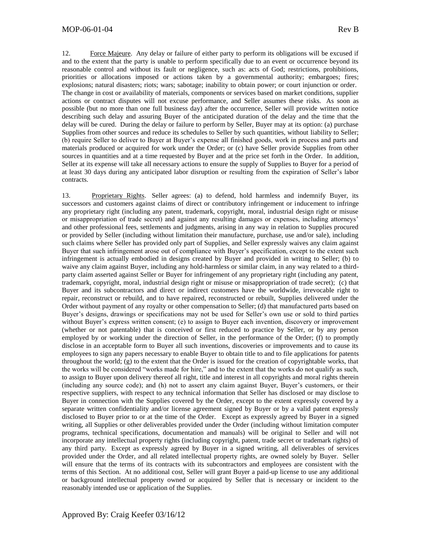## MOP-06-01-04 Rev B

12. Force Majeure. Any delay or failure of either party to perform its obligations will be excused if and to the extent that the party is unable to perform specifically due to an event or occurrence beyond its reasonable control and without its fault or negligence, such as: acts of God; restrictions, prohibitions, priorities or allocations imposed or actions taken by a governmental authority; embargoes; fires; explosions; natural disasters; riots; wars; sabotage; inability to obtain power; or court injunction or order. The change in cost or availability of materials, components or services based on market conditions, supplier actions or contract disputes will not excuse performance, and Seller assumes these risks. As soon as possible (but no more than one full business day) after the occurrence, Seller will provide written notice describing such delay and assuring Buyer of the anticipated duration of the delay and the time that the delay will be cured. During the delay or failure to perform by Seller, Buyer may at its option: (a) purchase Supplies from other sources and reduce its schedules to Seller by such quantities, without liability to Seller; (b) require Seller to deliver to Buyer at Buyer's expense all finished goods, work in process and parts and materials produced or acquired for work under the Order; or (c) have Seller provide Supplies from other sources in quantities and at a time requested by Buyer and at the price set forth in the Order. In addition, Seller at its expense will take all necessary actions to ensure the supply of Supplies to Buyer for a period of at least 30 days during any anticipated labor disruption or resulting from the expiration of Seller's labor contracts.

13. Proprietary Rights. Seller agrees: (a) to defend, hold harmless and indemnify Buyer, its successors and customers against claims of direct or contributory infringement or inducement to infringe any proprietary right (including any patent, trademark, copyright, moral, industrial design right or misuse or misappropriation of trade secret) and against any resulting damages or expenses, including attorneys' and other professional fees, settlements and judgments, arising in any way in relation to Supplies procured or provided by Seller (including without limitation their manufacture, purchase, use and/or sale), including such claims where Seller has provided only part of Supplies, and Seller expressly waives any claim against Buyer that such infringement arose out of compliance with Buyer's specification, except to the extent such infringement is actually embodied in designs created by Buyer and provided in writing to Seller; (b) to waive any claim against Buyer, including any hold-harmless or similar claim, in any way related to a thirdparty claim asserted against Seller or Buyer for infringement of any proprietary right (including any patent, trademark, copyright, moral, industrial design right or misuse or misappropriation of trade secret); (c) that Buyer and its subcontractors and direct or indirect customers have the worldwide, irrevocable right to repair, reconstruct or rebuild, and to have repaired, reconstructed or rebuilt, Supplies delivered under the Order without payment of any royalty or other compensation to Seller; (d) that manufactured parts based on Buyer's designs, drawings or specifications may not be used for Seller's own use or sold to third parties without Buyer's express written consent; (e) to assign to Buyer each invention, discovery or improvement (whether or not patentable) that is conceived or first reduced to practice by Seller, or by any person employed by or working under the direction of Seller, in the performance of the Order; (f) to promptly disclose in an acceptable form to Buyer all such inventions, discoveries or improvements and to cause its employees to sign any papers necessary to enable Buyer to obtain title to and to file applications for patents throughout the world; (g) to the extent that the Order is issued for the creation of copyrightable works, that the works will be considered "works made for hire," and to the extent that the works do not qualify as such, to assign to Buyer upon delivery thereof all right, title and interest in all copyrights and moral rights therein (including any source code); and (h) not to assert any claim against Buyer, Buyer's customers, or their respective suppliers, with respect to any technical information that Seller has disclosed or may disclose to Buyer in connection with the Supplies covered by the Order, except to the extent expressly covered by a separate written confidentiality and/or license agreement signed by Buyer or by a valid patent expressly disclosed to Buyer prior to or at the time of the Order. Except as expressly agreed by Buyer in a signed writing, all Supplies or other deliverables provided under the Order (including without limitation computer programs, technical specifications, documentation and manuals) will be original to Seller and will not incorporate any intellectual property rights (including copyright, patent, trade secret or trademark rights) of any third party. Except as expressly agreed by Buyer in a signed writing, all deliverables of services provided under the Order, and all related intellectual property rights, are owned solely by Buyer. Seller will ensure that the terms of its contracts with its subcontractors and employees are consistent with the terms of this Section. At no additional cost, Seller will grant Buyer a paid-up license to use any additional or background intellectual property owned or acquired by Seller that is necessary or incident to the reasonably intended use or application of the Supplies.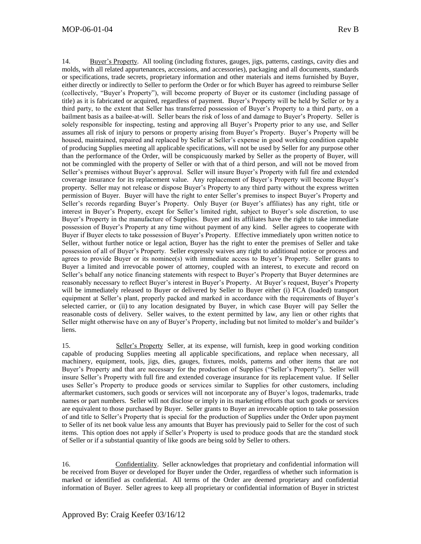14. Buyer's Property. All tooling (including fixtures, gauges, jigs, patterns, castings, cavity dies and molds, with all related appurtenances, accessions, and accessories), packaging and all documents, standards or specifications, trade secrets, proprietary information and other materials and items furnished by Buyer, either directly or indirectly to Seller to perform the Order or for which Buyer has agreed to reimburse Seller (collectively, "Buyer's Property"), will become property of Buyer or its customer (including passage of title) as it is fabricated or acquired, regardless of payment. Buyer's Property will be held by Seller or by a third party, to the extent that Seller has transferred possession of Buyer's Property to a third party, on a bailment basis as a bailee-at-will. Seller bears the risk of loss of and damage to Buyer's Property. Seller is solely responsible for inspecting, testing and approving all Buyer's Property prior to any use, and Seller assumes all risk of injury to persons or property arising from Buyer's Property. Buyer's Property will be housed, maintained, repaired and replaced by Seller at Seller's expense in good working condition capable of producing Supplies meeting all applicable specifications, will not be used by Seller for any purpose other than the performance of the Order, will be conspicuously marked by Seller as the property of Buyer, will not be commingled with the property of Seller or with that of a third person, and will not be moved from Seller's premises without Buyer's approval. Seller will insure Buyer's Property with full fire and extended coverage insurance for its replacement value. Any replacement of Buyer's Property will become Buyer's property. Seller may not release or dispose Buyer's Property to any third party without the express written permission of Buyer. Buyer will have the right to enter Seller's premises to inspect Buyer's Property and Seller's records regarding Buyer's Property. Only Buyer (or Buyer's affiliates) has any right, title or interest in Buyer's Property, except for Seller's limited right, subject to Buyer's sole discretion, to use Buyer's Property in the manufacture of Supplies. Buyer and its affiliates have the right to take immediate possession of Buyer's Property at any time without payment of any kind. Seller agrees to cooperate with Buyer if Buyer elects to take possession of Buyer's Property. Effective immediately upon written notice to Seller, without further notice or legal action, Buyer has the right to enter the premises of Seller and take possession of all of Buyer's Property. Seller expressly waives any right to additional notice or process and agrees to provide Buyer or its nominee(s) with immediate access to Buyer's Property. Seller grants to Buyer a limited and irrevocable power of attorney, coupled with an interest, to execute and record on Seller's behalf any notice financing statements with respect to Buyer's Property that Buyer determines are reasonably necessary to reflect Buyer's interest in Buyer's Property. At Buyer's request, Buyer's Property will be immediately released to Buyer or delivered by Seller to Buyer either (i) FCA (loaded) transport equipment at Seller's plant, properly packed and marked in accordance with the requirements of Buyer's selected carrier, or (ii) to any location designated by Buyer, in which case Buyer will pay Seller the reasonable costs of delivery. Seller waives, to the extent permitted by law, any lien or other rights that Seller might otherwise have on any of Buyer's Property, including but not limited to molder's and builder's liens.

15. Seller's Property Seller, at its expense, will furnish, keep in good working condition capable of producing Supplies meeting all applicable specifications, and replace when necessary, all machinery, equipment, tools, jigs, dies, gauges, fixtures, molds, patterns and other items that are not Buyer's Property and that are necessary for the production of Supplies ("Seller's Property"). Seller will insure Seller's Property with full fire and extended coverage insurance for its replacement value. If Seller uses Seller's Property to produce goods or services similar to Supplies for other customers, including aftermarket customers, such goods or services will not incorporate any of Buyer's logos, trademarks, trade names or part numbers. Seller will not disclose or imply in its marketing efforts that such goods or services are equivalent to those purchased by Buyer. Seller grants to Buyer an irrevocable option to take possession of and title to Seller's Property that is special for the production of Supplies under the Order upon payment to Seller of its net book value less any amounts that Buyer has previously paid to Seller for the cost of such items. This option does not apply if Seller's Property is used to produce goods that are the standard stock of Seller or if a substantial quantity of like goods are being sold by Seller to others.

16. Confidentiality. Seller acknowledges that proprietary and confidential information will be received from Buyer or developed for Buyer under the Order, regardless of whether such information is marked or identified as confidential. All terms of the Order are deemed proprietary and confidential information of Buyer. Seller agrees to keep all proprietary or confidential information of Buyer in strictest